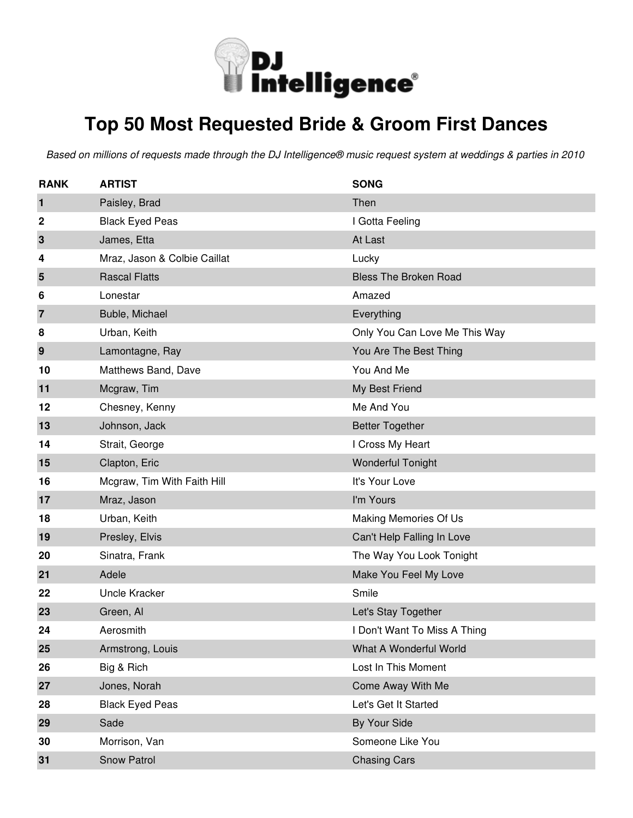

#### **Top 50 Most Requested Bride & Groom First Dances**

| <b>RANK</b>    | <b>ARTIST</b>                | <b>SONG</b>                   |
|----------------|------------------------------|-------------------------------|
| $\mathbf{1}$   | Paisley, Brad                | Then                          |
| 2              | <b>Black Eyed Peas</b>       | I Gotta Feeling               |
| $\mathbf{3}$   | James, Etta                  | At Last                       |
| 4              | Mraz, Jason & Colbie Caillat | Lucky                         |
| 5              | <b>Rascal Flatts</b>         | <b>Bless The Broken Road</b>  |
| 6              | Lonestar                     | Amazed                        |
| $\overline{7}$ | Buble, Michael               | Everything                    |
| 8              | Urban, Keith                 | Only You Can Love Me This Way |
| 9              | Lamontagne, Ray              | You Are The Best Thing        |
| 10             | Matthews Band, Dave          | You And Me                    |
| 11             | Mcgraw, Tim                  | My Best Friend                |
| 12             | Chesney, Kenny               | Me And You                    |
| 13             | Johnson, Jack                | <b>Better Together</b>        |
| 14             | Strait, George               | I Cross My Heart              |
| 15             | Clapton, Eric                | <b>Wonderful Tonight</b>      |
| 16             | Mcgraw, Tim With Faith Hill  | It's Your Love                |
| 17             | Mraz, Jason                  | I'm Yours                     |
| 18             | Urban, Keith                 | Making Memories Of Us         |
| 19             | Presley, Elvis               | Can't Help Falling In Love    |
| 20             | Sinatra, Frank               | The Way You Look Tonight      |
| 21             | Adele                        | Make You Feel My Love         |
| 22             | <b>Uncle Kracker</b>         | Smile                         |
| 23             | Green, Al                    | Let's Stay Together           |
| 24             | Aerosmith                    | I Don't Want To Miss A Thing  |
| 25             | Armstrong, Louis             | What A Wonderful World        |
| 26             | Big & Rich                   | Lost In This Moment           |
| 27             | Jones, Norah                 | Come Away With Me             |
| 28             | <b>Black Eyed Peas</b>       | Let's Get It Started          |
| 29             | Sade                         | By Your Side                  |
| 30             | Morrison, Van                | Someone Like You              |
| 31             | Snow Patrol                  | <b>Chasing Cars</b>           |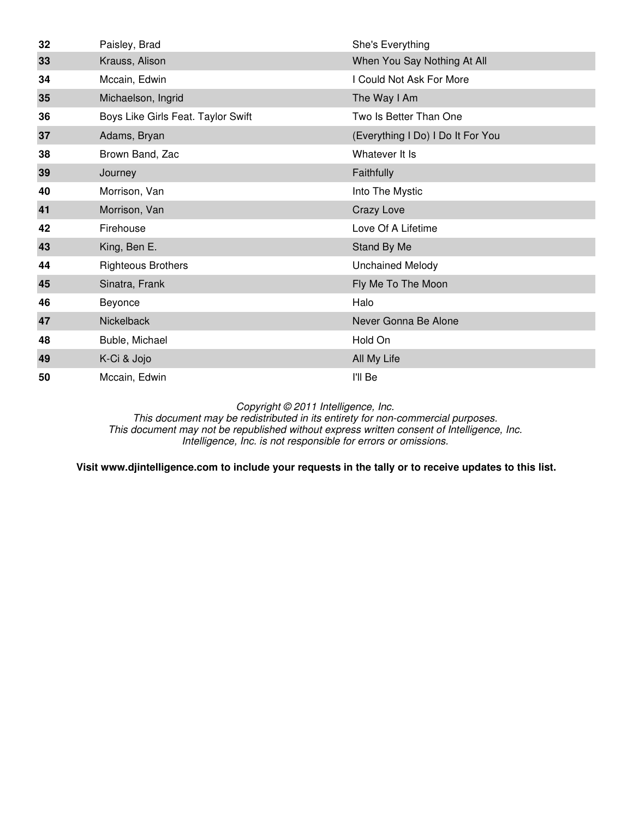| 32 | Paisley, Brad                      | She's Everything                  |
|----|------------------------------------|-----------------------------------|
| 33 | Krauss, Alison                     | When You Say Nothing At All       |
| 34 | Mccain, Edwin                      | I Could Not Ask For More          |
| 35 | Michaelson, Ingrid                 | The Way I Am                      |
| 36 | Boys Like Girls Feat. Taylor Swift | Two Is Better Than One            |
| 37 | Adams, Bryan                       | (Everything I Do) I Do It For You |
| 38 | Brown Band, Zac                    | Whatever It Is                    |
| 39 | Journey                            | Faithfully                        |
| 40 | Morrison, Van                      | Into The Mystic                   |
| 41 | Morrison, Van                      | Crazy Love                        |
| 42 | Firehouse                          | Love Of A Lifetime                |
| 43 | King, Ben E.                       | Stand By Me                       |
| 44 | <b>Righteous Brothers</b>          | <b>Unchained Melody</b>           |
| 45 | Sinatra, Frank                     | Fly Me To The Moon                |
| 46 | Beyonce                            | Halo                              |
| 47 | Nickelback                         | Never Gonna Be Alone              |
| 48 | Buble, Michael                     | Hold On                           |
| 49 | K-Ci & Jojo                        | All My Life                       |
| 50 | Mccain, Edwin                      | I'll Be                           |

This document may be redistributed in its entirety for non-commercial purposes. This document may not be republished without express written consent of Intelligence, Inc. Intelligence, Inc. is not responsible for errors or omissions.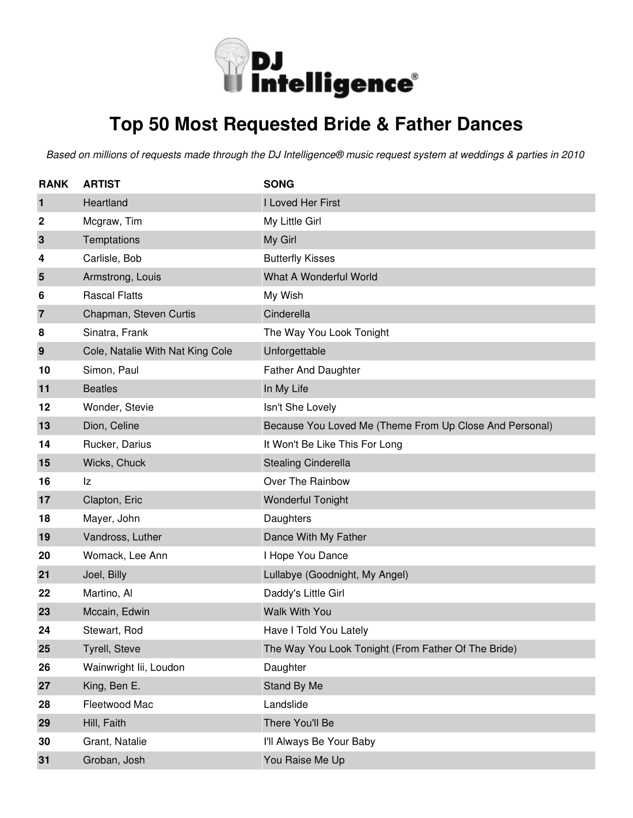

## **Top 50 Most Requested Bride & Father Dances**

| <b>RANK</b>      | <b>ARTIST</b>                    | <b>SONG</b>                                             |
|------------------|----------------------------------|---------------------------------------------------------|
| 1                | Heartland                        | I Loved Her First                                       |
| $\boldsymbol{2}$ | Mcgraw, Tim                      | My Little Girl                                          |
| 3                | Temptations                      | My Girl                                                 |
| 4                | Carlisle, Bob                    | <b>Butterfly Kisses</b>                                 |
| 5                | Armstrong, Louis                 | What A Wonderful World                                  |
| 6                | <b>Rascal Flatts</b>             | My Wish                                                 |
| 7                | Chapman, Steven Curtis           | Cinderella                                              |
| 8                | Sinatra, Frank                   | The Way You Look Tonight                                |
| 9                | Cole, Natalie With Nat King Cole | Unforgettable                                           |
| 10               | Simon, Paul                      | <b>Father And Daughter</b>                              |
| 11               | <b>Beatles</b>                   | In My Life                                              |
| 12               | Wonder, Stevie                   | Isn't She Lovely                                        |
| 13               | Dion, Celine                     | Because You Loved Me (Theme From Up Close And Personal) |
| 14               | Rucker, Darius                   | It Won't Be Like This For Long                          |
| 15               | Wicks, Chuck                     | <b>Stealing Cinderella</b>                              |
| 16               | Iz                               | Over The Rainbow                                        |
| 17               | Clapton, Eric                    | <b>Wonderful Tonight</b>                                |
| 18               | Mayer, John                      | Daughters                                               |
| 19               | Vandross, Luther                 | Dance With My Father                                    |
| 20               | Womack, Lee Ann                  | I Hope You Dance                                        |
| 21               | Joel, Billy                      | Lullabye (Goodnight, My Angel)                          |
| 22               | Martino, Al                      | Daddy's Little Girl                                     |
| 23               | Mccain, Edwin                    | <b>Walk With You</b>                                    |
| 24               | Stewart, Rod                     | Have I Told You Lately                                  |
| 25               | Tyrell, Steve                    | The Way You Look Tonight (From Father Of The Bride)     |
| 26               | Wainwright lii, Loudon           | Daughter                                                |
| 27               | King, Ben E.                     | Stand By Me                                             |
| 28               | Fleetwood Mac                    | Landslide                                               |
| 29               | Hill, Faith                      | There You'll Be                                         |
| 30               | Grant, Natalie                   | I'll Always Be Your Baby                                |
| 31               | Groban, Josh                     | You Raise Me Up                                         |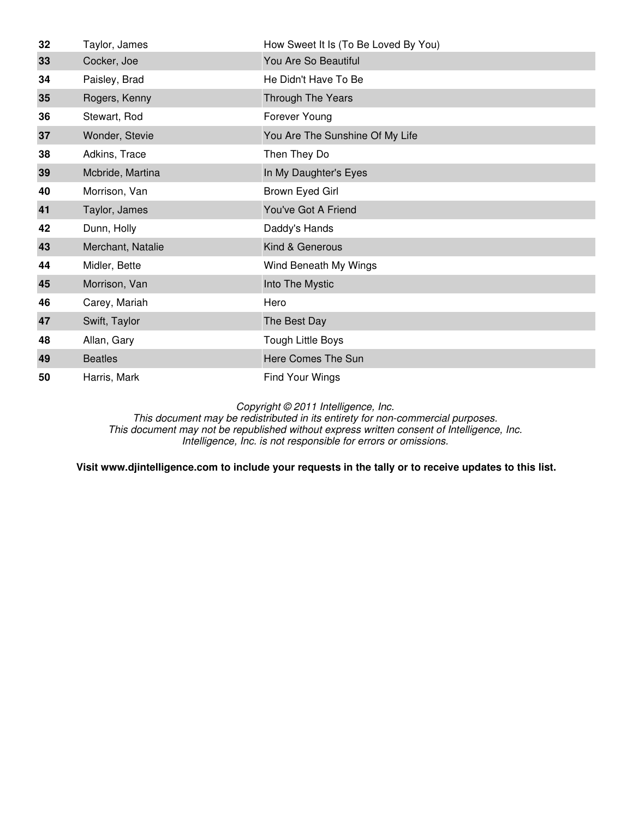| 32 | Taylor, James     | How Sweet It Is (To Be Loved By You) |
|----|-------------------|--------------------------------------|
| 33 | Cocker, Joe       | You Are So Beautiful                 |
| 34 | Paisley, Brad     | He Didn't Have To Be                 |
| 35 | Rogers, Kenny     | Through The Years                    |
| 36 | Stewart, Rod      | Forever Young                        |
| 37 | Wonder, Stevie    | You Are The Sunshine Of My Life      |
| 38 | Adkins, Trace     | Then They Do                         |
| 39 | Mcbride, Martina  | In My Daughter's Eyes                |
| 40 | Morrison, Van     | Brown Eyed Girl                      |
| 41 | Taylor, James     | You've Got A Friend                  |
| 42 | Dunn, Holly       | Daddy's Hands                        |
| 43 | Merchant, Natalie | Kind & Generous                      |
| 44 | Midler, Bette     | Wind Beneath My Wings                |
| 45 | Morrison, Van     | Into The Mystic                      |
| 46 | Carey, Mariah     | Hero                                 |
| 47 | Swift, Taylor     | The Best Day                         |
| 48 | Allan, Gary       | Tough Little Boys                    |
| 49 | <b>Beatles</b>    | Here Comes The Sun                   |
| 50 | Harris, Mark      | Find Your Wings                      |

This document may be redistributed in its entirety for non-commercial purposes. This document may not be republished without express written consent of Intelligence, Inc. Intelligence, Inc. is not responsible for errors or omissions.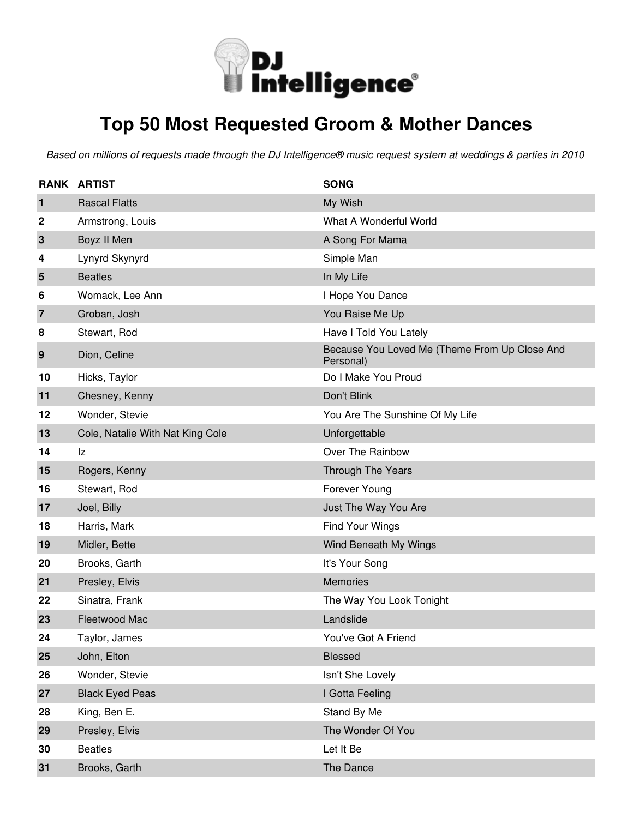

### **Top 50 Most Requested Groom & Mother Dances**

|                | <b>RANK ARTIST</b>               | <b>SONG</b>                                                |
|----------------|----------------------------------|------------------------------------------------------------|
| $\mathbf{1}$   | <b>Rascal Flatts</b>             | My Wish                                                    |
| 2              | Armstrong, Louis                 | What A Wonderful World                                     |
| $\mathbf 3$    | Boyz II Men                      | A Song For Mama                                            |
| 4              | Lynyrd Skynyrd                   | Simple Man                                                 |
| 5              | <b>Beatles</b>                   | In My Life                                                 |
| 6              | Womack, Lee Ann                  | I Hope You Dance                                           |
| $\overline{7}$ | Groban, Josh                     | You Raise Me Up                                            |
| 8              | Stewart, Rod                     | Have I Told You Lately                                     |
| 9              | Dion, Celine                     | Because You Loved Me (Theme From Up Close And<br>Personal) |
| 10             | Hicks, Taylor                    | Do I Make You Proud                                        |
| 11             | Chesney, Kenny                   | Don't Blink                                                |
| 12             | Wonder, Stevie                   | You Are The Sunshine Of My Life                            |
| 13             | Cole, Natalie With Nat King Cole | Unforgettable                                              |
| 14             | Iz                               | Over The Rainbow                                           |
| 15             | Rogers, Kenny                    | Through The Years                                          |
| 16             | Stewart, Rod                     | Forever Young                                              |
| 17             | Joel, Billy                      | Just The Way You Are                                       |
| 18             | Harris, Mark                     | Find Your Wings                                            |
| 19             | Midler, Bette                    | Wind Beneath My Wings                                      |
| 20             | Brooks, Garth                    | It's Your Song                                             |
| 21             | Presley, Elvis                   | <b>Memories</b>                                            |
| 22             | Sinatra, Frank                   | The Way You Look Tonight                                   |
| 23             | Fleetwood Mac                    | Landslide                                                  |
| 24             | Taylor, James                    | You've Got A Friend                                        |
| 25             | John, Elton                      | Blessed                                                    |
| 26             | Wonder, Stevie                   | Isn't She Lovely                                           |
| 27             | <b>Black Eyed Peas</b>           | I Gotta Feeling                                            |
| 28             | King, Ben E.                     | Stand By Me                                                |
| 29             | Presley, Elvis                   | The Wonder Of You                                          |
| 30             | <b>Beatles</b>                   | Let It Be                                                  |
| 31             | Brooks, Garth                    | The Dance                                                  |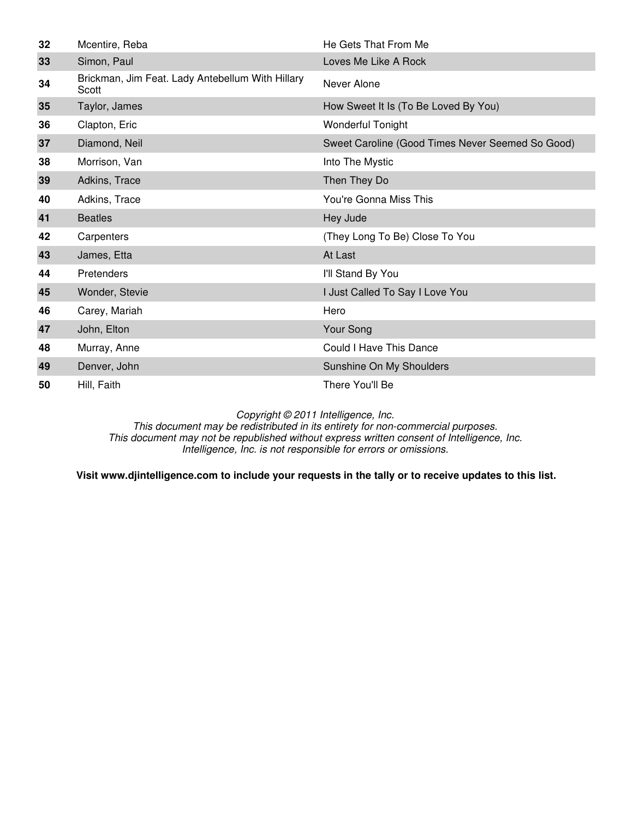| 32 | Mcentire, Reba                                            | He Gets That From Me                             |
|----|-----------------------------------------------------------|--------------------------------------------------|
| 33 | Simon, Paul                                               | Loves Me Like A Rock                             |
| 34 | Brickman, Jim Feat. Lady Antebellum With Hillary<br>Scott | Never Alone                                      |
| 35 | Taylor, James                                             | How Sweet It Is (To Be Loved By You)             |
| 36 | Clapton, Eric                                             | <b>Wonderful Tonight</b>                         |
| 37 | Diamond, Neil                                             | Sweet Caroline (Good Times Never Seemed So Good) |
| 38 | Morrison, Van                                             | Into The Mystic                                  |
| 39 | Adkins, Trace                                             | Then They Do                                     |
| 40 | Adkins, Trace                                             | You're Gonna Miss This                           |
| 41 | <b>Beatles</b>                                            | Hey Jude                                         |
| 42 | Carpenters                                                | (They Long To Be) Close To You                   |
| 43 | James, Etta                                               | At Last                                          |
| 44 | Pretenders                                                | I'll Stand By You                                |
| 45 | Wonder, Stevie                                            | I Just Called To Say I Love You                  |
| 46 | Carey, Mariah                                             | Hero                                             |
| 47 | John, Elton                                               | Your Song                                        |
| 48 | Murray, Anne                                              | Could I Have This Dance                          |
| 49 | Denver, John                                              | Sunshine On My Shoulders                         |
| 50 | Hill, Faith                                               | There You'll Be                                  |

This document may be redistributed in its entirety for non-commercial purposes. This document may not be republished without express written consent of Intelligence, Inc. Intelligence, Inc. is not responsible for errors or omissions.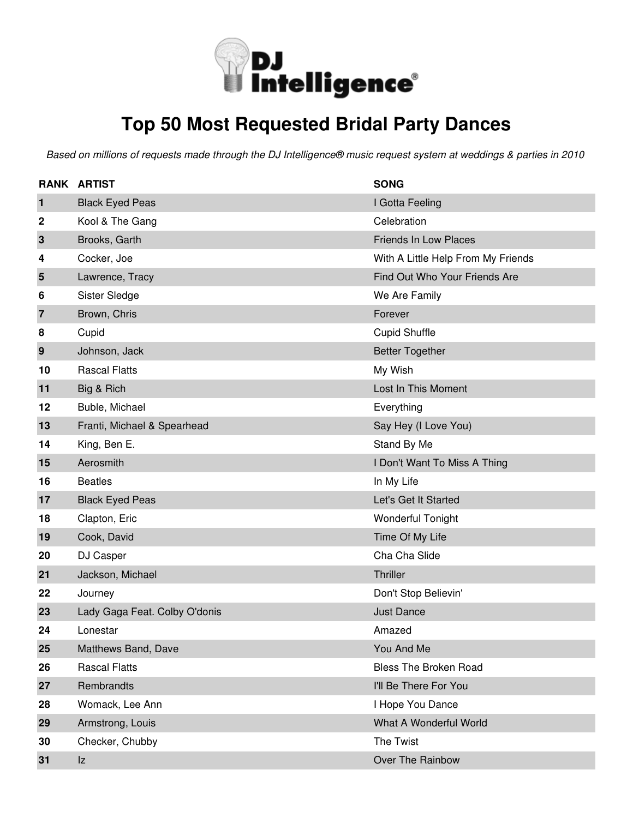

### **Top 50 Most Requested Bridal Party Dances**

|                | <b>RANK ARTIST</b>            | <b>SONG</b>                        |
|----------------|-------------------------------|------------------------------------|
| $\mathbf{1}$   | <b>Black Eyed Peas</b>        | I Gotta Feeling                    |
| 2              | Kool & The Gang               | Celebration                        |
| $\mathbf{3}$   | Brooks, Garth                 | <b>Friends In Low Places</b>       |
| 4              | Cocker, Joe                   | With A Little Help From My Friends |
| 5              | Lawrence, Tracy               | Find Out Who Your Friends Are      |
| 6              | Sister Sledge                 | We Are Family                      |
| $\overline{7}$ | Brown, Chris                  | Forever                            |
| 8              | Cupid                         | <b>Cupid Shuffle</b>               |
| 9              | Johnson, Jack                 | <b>Better Together</b>             |
| 10             | <b>Rascal Flatts</b>          | My Wish                            |
| 11             | Big & Rich                    | Lost In This Moment                |
| 12             | Buble, Michael                | Everything                         |
| 13             | Franti, Michael & Spearhead   | Say Hey (I Love You)               |
| 14             | King, Ben E.                  | Stand By Me                        |
| 15             | Aerosmith                     | I Don't Want To Miss A Thing       |
| 16             | <b>Beatles</b>                | In My Life                         |
| 17             | <b>Black Eyed Peas</b>        | Let's Get It Started               |
| 18             | Clapton, Eric                 | <b>Wonderful Tonight</b>           |
| 19             | Cook, David                   | Time Of My Life                    |
| 20             | DJ Casper                     | Cha Cha Slide                      |
| 21             | Jackson, Michael              | Thriller                           |
| 22             | Journey                       | Don't Stop Believin'               |
| 23             | Lady Gaga Feat. Colby O'donis | <b>Just Dance</b>                  |
| 24             | Lonestar                      | Amazed                             |
| 25             | Matthews Band, Dave           | You And Me                         |
| 26             | <b>Rascal Flatts</b>          | <b>Bless The Broken Road</b>       |
| 27             | Rembrandts                    | I'll Be There For You              |
| 28             | Womack, Lee Ann               | I Hope You Dance                   |
| 29             | Armstrong, Louis              | What A Wonderful World             |
| 30             | Checker, Chubby               | The Twist                          |
| 31             | Iz                            | Over The Rainbow                   |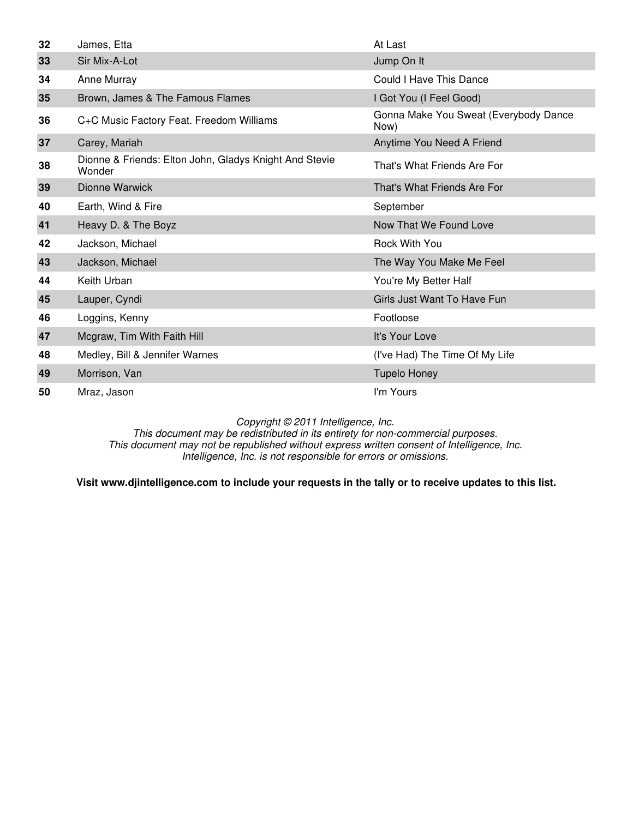| 32 | James, Etta                                                      | At Last                                       |
|----|------------------------------------------------------------------|-----------------------------------------------|
| 33 | Sir Mix-A-Lot                                                    | Jump On It                                    |
| 34 | Anne Murray                                                      | Could I Have This Dance                       |
| 35 | Brown, James & The Famous Flames                                 | I Got You (I Feel Good)                       |
| 36 | C+C Music Factory Feat. Freedom Williams                         | Gonna Make You Sweat (Everybody Dance<br>Now) |
| 37 | Carey, Mariah                                                    | Anytime You Need A Friend                     |
| 38 | Dionne & Friends: Elton John, Gladys Knight And Stevie<br>Wonder | That's What Friends Are For                   |
| 39 | Dionne Warwick                                                   | That's What Friends Are For                   |
| 40 | Earth, Wind & Fire                                               | September                                     |
| 41 | Heavy D. & The Boyz                                              | Now That We Found Love                        |
| 42 | Jackson, Michael                                                 | <b>Rock With You</b>                          |
| 43 | Jackson, Michael                                                 | The Way You Make Me Feel                      |
| 44 | Keith Urban                                                      | You're My Better Half                         |
| 45 | Lauper, Cyndi                                                    | Girls Just Want To Have Fun                   |
| 46 | Loggins, Kenny                                                   | Footloose                                     |
| 47 | Mcgraw, Tim With Faith Hill                                      | It's Your Love                                |
| 48 | Medley, Bill & Jennifer Warnes                                   | (I've Had) The Time Of My Life                |
| 49 | Morrison, Van                                                    | <b>Tupelo Honey</b>                           |
| 50 | Mraz, Jason                                                      | I'm Yours                                     |

This document may be redistributed in its entirety for non-commercial purposes. This document may not be republished without express written consent of Intelligence, Inc. Intelligence, Inc. is not responsible for errors or omissions.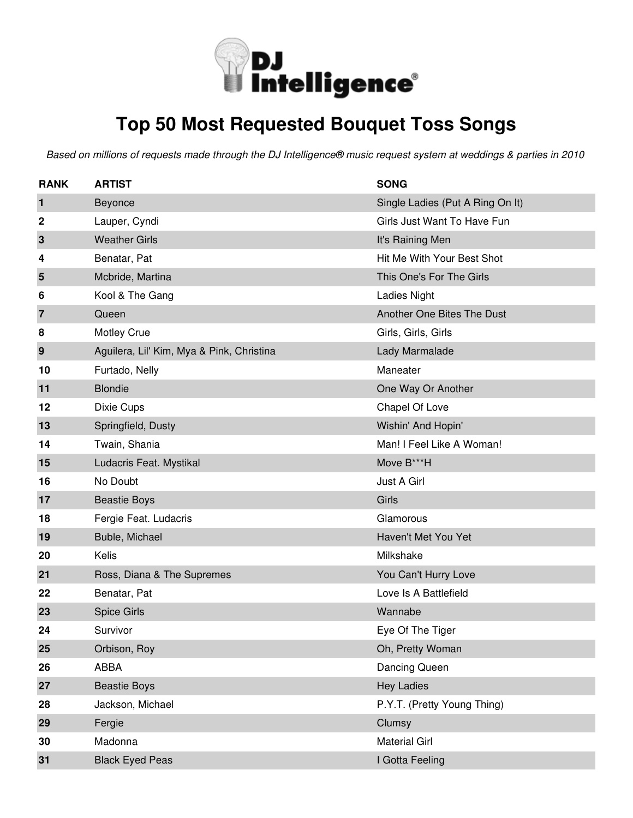

## **Top 50 Most Requested Bouquet Toss Songs**

| <b>RANK</b>    | <b>ARTIST</b>                             | <b>SONG</b>                      |
|----------------|-------------------------------------------|----------------------------------|
| 1              | Beyonce                                   | Single Ladies (Put A Ring On It) |
| 2              | Lauper, Cyndi                             | Girls Just Want To Have Fun      |
| 3              | <b>Weather Girls</b>                      | It's Raining Men                 |
| 4              | Benatar, Pat                              | Hit Me With Your Best Shot       |
| 5              | Mcbride, Martina                          | This One's For The Girls         |
| 6              | Kool & The Gang                           | Ladies Night                     |
| $\overline{7}$ | Queen                                     | Another One Bites The Dust       |
| 8              | Motley Crue                               | Girls, Girls, Girls              |
| 9              | Aguilera, Lil' Kim, Mya & Pink, Christina | Lady Marmalade                   |
| 10             | Furtado, Nelly                            | Maneater                         |
| 11             | <b>Blondie</b>                            | One Way Or Another               |
| 12             | Dixie Cups                                | Chapel Of Love                   |
| 13             | Springfield, Dusty                        | Wishin' And Hopin'               |
| 14             | Twain, Shania                             | Man! I Feel Like A Woman!        |
| 15             | Ludacris Feat. Mystikal                   | Move B***H                       |
| 16             | No Doubt                                  | Just A Girl                      |
| 17             | <b>Beastie Boys</b>                       | Girls                            |
| 18             | Fergie Feat. Ludacris                     | Glamorous                        |
| 19             | Buble, Michael                            | Haven't Met You Yet              |
| 20             | Kelis                                     | Milkshake                        |
| 21             | Ross, Diana & The Supremes                | You Can't Hurry Love             |
| 22             | Benatar, Pat                              | Love Is A Battlefield            |
| 23             | <b>Spice Girls</b>                        | Wannabe                          |
| 24             | Survivor                                  | Eye Of The Tiger                 |
| 25             | Orbison, Roy                              | Oh, Pretty Woman                 |
| 26             | <b>ABBA</b>                               | Dancing Queen                    |
| 27             | <b>Beastie Boys</b>                       | <b>Hey Ladies</b>                |
| 28             | Jackson, Michael                          | P.Y.T. (Pretty Young Thing)      |
| 29             | Fergie                                    | Clumsy                           |
| 30             | Madonna                                   | <b>Material Girl</b>             |
| 31             | <b>Black Eyed Peas</b>                    | I Gotta Feeling                  |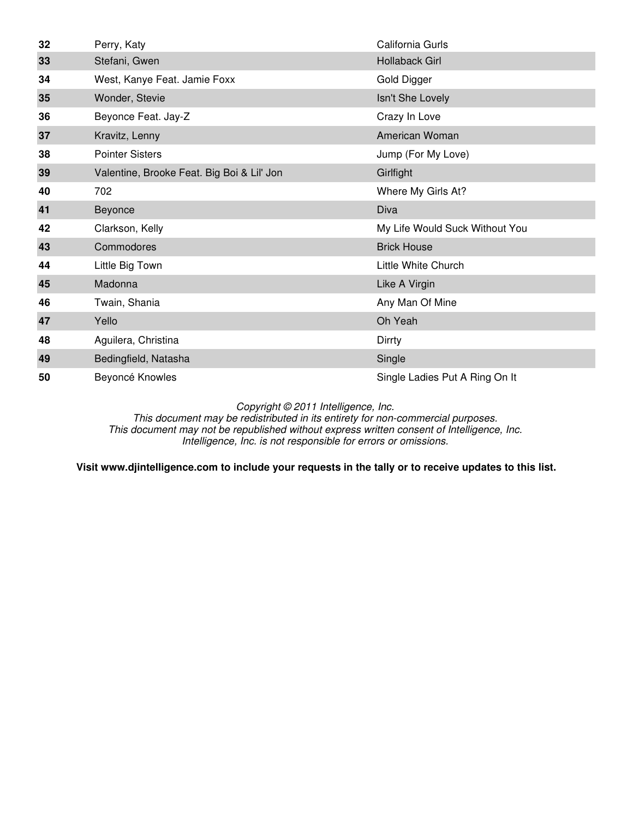| 32 | Perry, Katy                                | California Gurls               |
|----|--------------------------------------------|--------------------------------|
| 33 | Stefani, Gwen                              | <b>Hollaback Girl</b>          |
| 34 | West, Kanye Feat. Jamie Foxx               | Gold Digger                    |
| 35 | Wonder, Stevie                             | Isn't She Lovely               |
| 36 | Beyonce Feat. Jay-Z                        | Crazy In Love                  |
| 37 | Kravitz, Lenny                             | American Woman                 |
| 38 | <b>Pointer Sisters</b>                     | Jump (For My Love)             |
| 39 | Valentine, Brooke Feat. Big Boi & Lil' Jon | Girlfight                      |
| 40 | 702                                        | Where My Girls At?             |
| 41 | Beyonce                                    | Diva                           |
| 42 | Clarkson, Kelly                            | My Life Would Suck Without You |
| 43 | Commodores                                 | <b>Brick House</b>             |
| 44 | Little Big Town                            | Little White Church            |
| 45 | Madonna                                    | Like A Virgin                  |
| 46 | Twain, Shania                              | Any Man Of Mine                |
| 47 | Yello                                      | Oh Yeah                        |
| 48 | Aguilera, Christina                        | Dirrty                         |
| 49 | Bedingfield, Natasha                       | Single                         |
| 50 | Beyoncé Knowles                            | Single Ladies Put A Ring On It |

This document may be redistributed in its entirety for non-commercial purposes. This document may not be republished without express written consent of Intelligence, Inc. Intelligence, Inc. is not responsible for errors or omissions.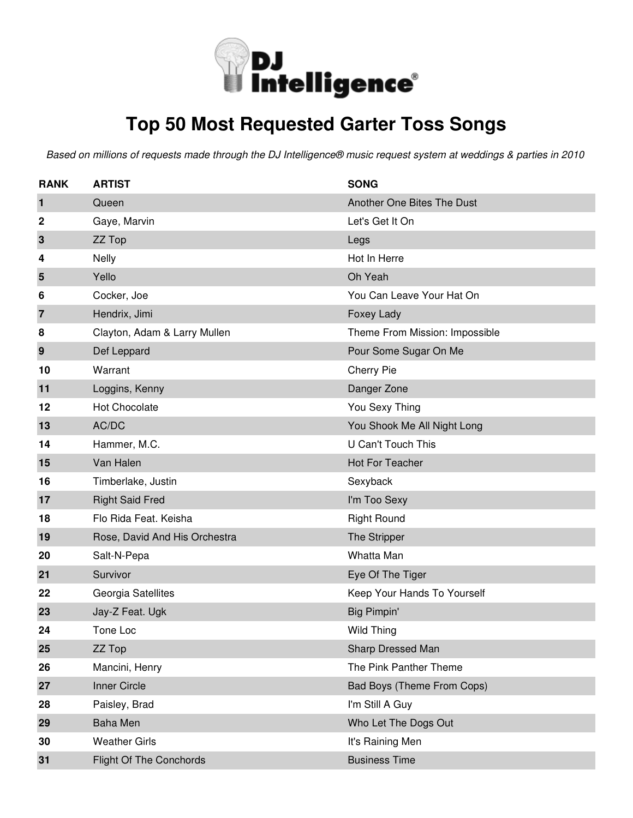

# **Top 50 Most Requested Garter Toss Songs**

| <b>RANK</b>             | <b>ARTIST</b>                  | <b>SONG</b>                    |
|-------------------------|--------------------------------|--------------------------------|
| 1                       | Queen                          | Another One Bites The Dust     |
| 2                       | Gaye, Marvin                   | Let's Get It On                |
| 3                       | ZZ Top                         | Legs                           |
| 4                       | <b>Nelly</b>                   | Hot In Herre                   |
| 5                       | Yello                          | Oh Yeah                        |
| 6                       | Cocker, Joe                    | You Can Leave Your Hat On      |
| $\overline{\mathbf{z}}$ | Hendrix, Jimi                  | Foxey Lady                     |
| 8                       | Clayton, Adam & Larry Mullen   | Theme From Mission: Impossible |
| 9                       | Def Leppard                    | Pour Some Sugar On Me          |
| 10                      | Warrant                        | Cherry Pie                     |
| 11                      | Loggins, Kenny                 | Danger Zone                    |
| 12                      | Hot Chocolate                  | You Sexy Thing                 |
| 13                      | AC/DC                          | You Shook Me All Night Long    |
| 14                      | Hammer, M.C.                   | <b>U Can't Touch This</b>      |
| 15                      | Van Halen                      | <b>Hot For Teacher</b>         |
| 16                      | Timberlake, Justin             | Sexyback                       |
| 17                      | <b>Right Said Fred</b>         | I'm Too Sexy                   |
| 18                      | Flo Rida Feat. Keisha          | <b>Right Round</b>             |
| 19                      | Rose, David And His Orchestra  | The Stripper                   |
| 20                      | Salt-N-Pepa                    | Whatta Man                     |
| 21                      | Survivor                       | Eye Of The Tiger               |
| 22                      | Georgia Satellites             | Keep Your Hands To Yourself    |
| 23                      | Jay-Z Feat. Ugk                | Big Pimpin'                    |
| 24                      | Tone Loc                       | <b>Wild Thing</b>              |
| 25                      | ZZ Top                         | Sharp Dressed Man              |
| 26                      | Mancini, Henry                 | The Pink Panther Theme         |
| 27                      | Inner Circle                   | Bad Boys (Theme From Cops)     |
| 28                      | Paisley, Brad                  | I'm Still A Guy                |
| 29                      | <b>Baha Men</b>                | Who Let The Dogs Out           |
| 30                      | <b>Weather Girls</b>           | It's Raining Men               |
| 31                      | <b>Flight Of The Conchords</b> | <b>Business Time</b>           |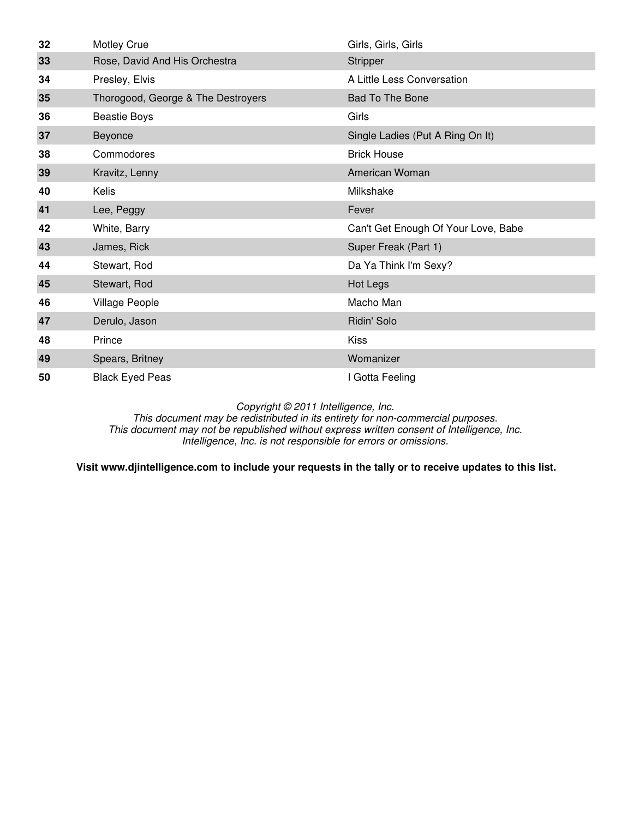| 32 | <b>Motley Crue</b>                 | Girls, Girls, Girls                 |
|----|------------------------------------|-------------------------------------|
| 33 | Rose, David And His Orchestra      | Stripper                            |
| 34 | Presley, Elvis                     | A Little Less Conversation          |
| 35 | Thorogood, George & The Destroyers | Bad To The Bone                     |
| 36 | <b>Beastie Boys</b>                | Girls                               |
| 37 | Beyonce                            | Single Ladies (Put A Ring On It)    |
| 38 | Commodores                         | <b>Brick House</b>                  |
| 39 | Kravitz, Lenny                     | American Woman                      |
| 40 | Kelis                              | Milkshake                           |
| 41 | Lee, Peggy                         | Fever                               |
| 42 | White, Barry                       | Can't Get Enough Of Your Love, Babe |
| 43 | James, Rick                        | Super Freak (Part 1)                |
| 44 | Stewart, Rod                       | Da Ya Think I'm Sexy?               |
| 45 | Stewart, Rod                       | Hot Legs                            |
| 46 | Village People                     | Macho Man                           |
| 47 | Derulo, Jason                      | Ridin' Solo                         |
| 48 | Prince                             | <b>Kiss</b>                         |
| 49 | Spears, Britney                    | Womanizer                           |
| 50 | <b>Black Eyed Peas</b>             | I Gotta Feeling                     |

This document may be redistributed in its entirety for non-commercial purposes. This document may not be republished without express written consent of Intelligence, Inc. Intelligence, Inc. is not responsible for errors or omissions.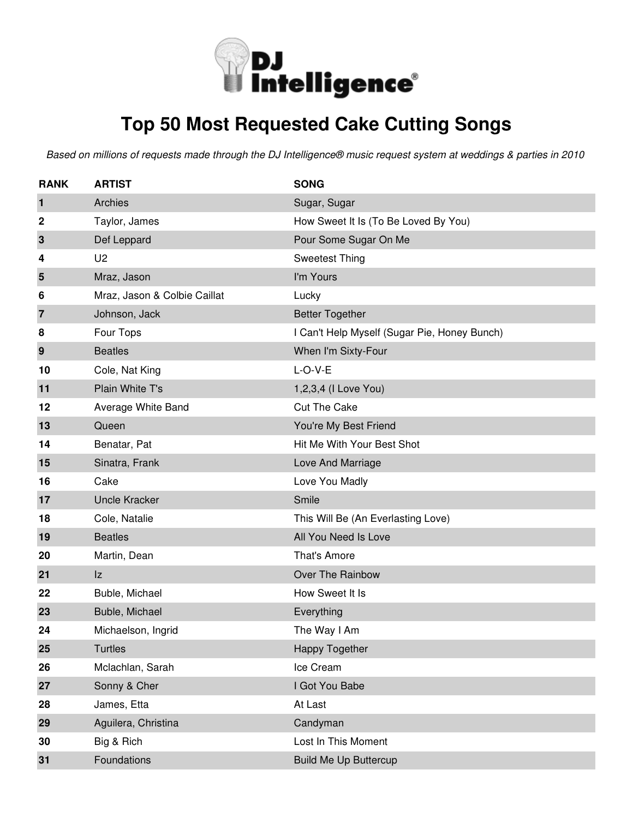

## **Top 50 Most Requested Cake Cutting Songs**

| <b>RANK</b>    | <b>ARTIST</b>                | <b>SONG</b>                                  |
|----------------|------------------------------|----------------------------------------------|
| 1              | Archies                      | Sugar, Sugar                                 |
| 2              | Taylor, James                | How Sweet It Is (To Be Loved By You)         |
| 3              | Def Leppard                  | Pour Some Sugar On Me                        |
| 4              | U <sub>2</sub>               | <b>Sweetest Thing</b>                        |
| 5              | Mraz, Jason                  | I'm Yours                                    |
| 6              | Mraz, Jason & Colbie Caillat | Lucky                                        |
| $\overline{7}$ | Johnson, Jack                | <b>Better Together</b>                       |
| 8              | Four Tops                    | I Can't Help Myself (Sugar Pie, Honey Bunch) |
| 9              | <b>Beatles</b>               | When I'm Sixty-Four                          |
| 10             | Cole, Nat King               | $L-O-V-E$                                    |
| 11             | Plain White T's              | 1,2,3,4 (I Love You)                         |
| 12             | Average White Band           | <b>Cut The Cake</b>                          |
| 13             | Queen                        | You're My Best Friend                        |
| 14             | Benatar, Pat                 | Hit Me With Your Best Shot                   |
| 15             | Sinatra, Frank               | Love And Marriage                            |
| 16             | Cake                         | Love You Madly                               |
| 17             | <b>Uncle Kracker</b>         | Smile                                        |
| 18             | Cole, Natalie                | This Will Be (An Everlasting Love)           |
| 19             | <b>Beatles</b>               | All You Need Is Love                         |
| 20             | Martin, Dean                 | That's Amore                                 |
| 21             | Iz                           | Over The Rainbow                             |
| 22             | Buble, Michael               | How Sweet It Is                              |
| 23             | Buble, Michael               | Everything                                   |
| 24             | Michaelson, Ingrid           | The Way I Am                                 |
| 25             | <b>Turtles</b>               | Happy Together                               |
| 26             | Mclachlan, Sarah             | Ice Cream                                    |
| 27             | Sonny & Cher                 | I Got You Babe                               |
| 28             | James, Etta                  | At Last                                      |
| 29             | Aguilera, Christina          | Candyman                                     |
| 30             | Big & Rich                   | Lost In This Moment                          |
| 31             | Foundations                  | <b>Build Me Up Buttercup</b>                 |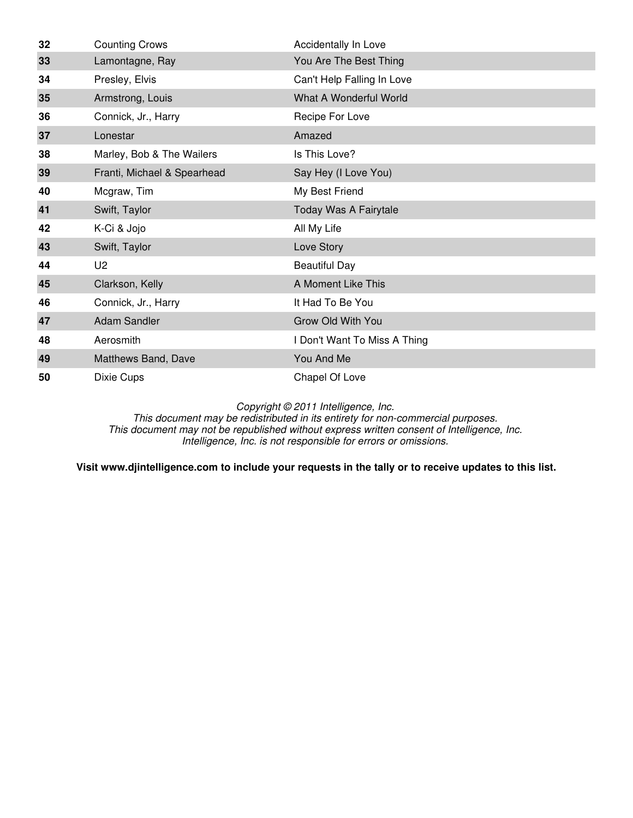| 32 | <b>Counting Crows</b>       | Accidentally In Love         |
|----|-----------------------------|------------------------------|
| 33 | Lamontagne, Ray             | You Are The Best Thing       |
| 34 | Presley, Elvis              | Can't Help Falling In Love   |
| 35 | Armstrong, Louis            | What A Wonderful World       |
| 36 | Connick, Jr., Harry         | Recipe For Love              |
| 37 | Lonestar                    | Amazed                       |
| 38 | Marley, Bob & The Wailers   | Is This Love?                |
| 39 | Franti, Michael & Spearhead | Say Hey (I Love You)         |
| 40 | Mcgraw, Tim                 | My Best Friend               |
| 41 | Swift, Taylor               | Today Was A Fairytale        |
| 42 | K-Ci & Jojo                 | All My Life                  |
| 43 | Swift, Taylor               | Love Story                   |
| 44 | U <sub>2</sub>              | <b>Beautiful Day</b>         |
| 45 | Clarkson, Kelly             | A Moment Like This           |
| 46 | Connick, Jr., Harry         | It Had To Be You             |
| 47 | Adam Sandler                | Grow Old With You            |
| 48 | Aerosmith                   | I Don't Want To Miss A Thing |
| 49 | Matthews Band, Dave         | You And Me                   |
| 50 | Dixie Cups                  | Chapel Of Love               |

This document may be redistributed in its entirety for non-commercial purposes. This document may not be republished without express written consent of Intelligence, Inc. Intelligence, Inc. is not responsible for errors or omissions.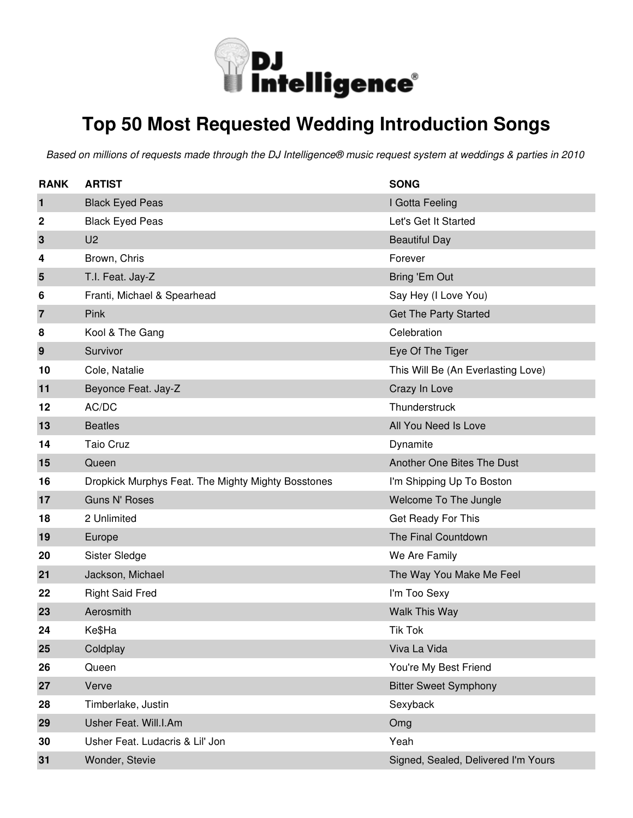

### **Top 50 Most Requested Wedding Introduction Songs**

| <b>RANK</b> | <b>ARTIST</b>                                      | <b>SONG</b>                         |
|-------------|----------------------------------------------------|-------------------------------------|
| 1           | <b>Black Eyed Peas</b>                             | I Gotta Feeling                     |
| 2           | <b>Black Eyed Peas</b>                             | Let's Get It Started                |
| 3           | U <sub>2</sub>                                     | <b>Beautiful Day</b>                |
| 4           | Brown, Chris                                       | Forever                             |
| 5           | T.I. Feat. Jay-Z                                   | Bring 'Em Out                       |
| 6           | Franti, Michael & Spearhead                        | Say Hey (I Love You)                |
| 7           | Pink                                               | <b>Get The Party Started</b>        |
| 8           | Kool & The Gang                                    | Celebration                         |
| 9           | Survivor                                           | Eye Of The Tiger                    |
| 10          | Cole, Natalie                                      | This Will Be (An Everlasting Love)  |
| 11          | Beyonce Feat. Jay-Z                                | Crazy In Love                       |
| 12          | AC/DC                                              | Thunderstruck                       |
| 13          | <b>Beatles</b>                                     | All You Need Is Love                |
| 14          | <b>Taio Cruz</b>                                   | Dynamite                            |
| 15          | Queen                                              | Another One Bites The Dust          |
| 16          | Dropkick Murphys Feat. The Mighty Mighty Bosstones | I'm Shipping Up To Boston           |
| 17          | <b>Guns N' Roses</b>                               | Welcome To The Jungle               |
| 18          | 2 Unlimited                                        | Get Ready For This                  |
| 19          | Europe                                             | The Final Countdown                 |
| 20          | Sister Sledge                                      | We Are Family                       |
| 21          | Jackson, Michael                                   | The Way You Make Me Feel            |
| 22          | <b>Right Said Fred</b>                             | I'm Too Sexy                        |
| 23          | Aerosmith                                          | Walk This Way                       |
| 24          | Ke\$Ha                                             | <b>Tik Tok</b>                      |
| 25          | Coldplay                                           | Viva La Vida                        |
| 26          | Queen                                              | You're My Best Friend               |
| 27          | Verve                                              | <b>Bitter Sweet Symphony</b>        |
| 28          | Timberlake, Justin                                 | Sexyback                            |
| 29          | Usher Feat. Will.I.Am                              | Omg                                 |
| 30          | Usher Feat. Ludacris & Lil' Jon                    | Yeah                                |
| 31          | Wonder, Stevie                                     | Signed, Sealed, Delivered I'm Yours |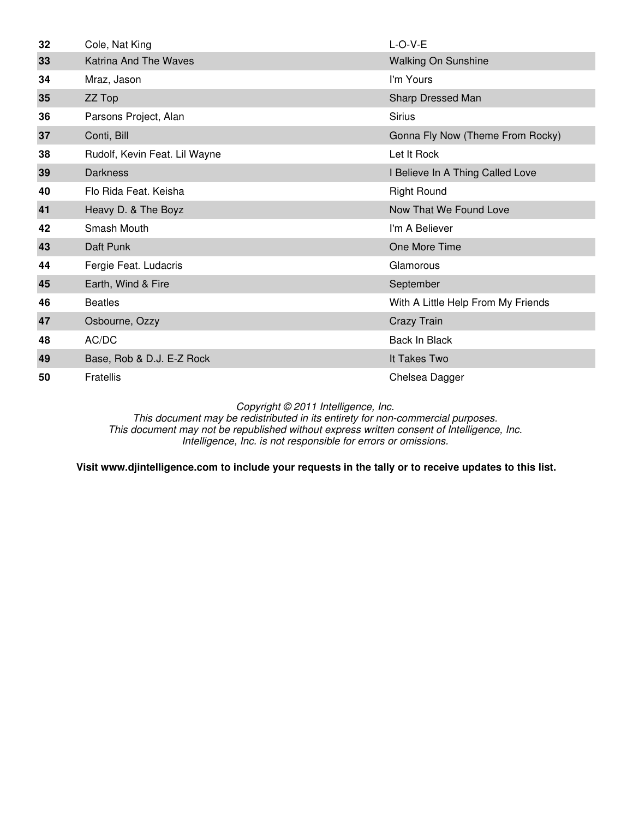| 32 | Cole, Nat King                | $L-O-V-E$                          |
|----|-------------------------------|------------------------------------|
| 33 | <b>Katrina And The Waves</b>  | <b>Walking On Sunshine</b>         |
| 34 | Mraz, Jason                   | I'm Yours                          |
| 35 | ZZ Top                        | Sharp Dressed Man                  |
| 36 | Parsons Project, Alan         | <b>Sirius</b>                      |
| 37 | Conti, Bill                   | Gonna Fly Now (Theme From Rocky)   |
| 38 | Rudolf, Kevin Feat. Lil Wayne | Let It Rock                        |
| 39 | <b>Darkness</b>               | I Believe In A Thing Called Love   |
| 40 | Flo Rida Feat, Keisha         | <b>Right Round</b>                 |
| 41 | Heavy D. & The Boyz           | Now That We Found Love             |
| 42 | Smash Mouth                   | I'm A Believer                     |
| 43 | Daft Punk                     | One More Time                      |
| 44 | Fergie Feat. Ludacris         | Glamorous                          |
| 45 | Earth, Wind & Fire            | September                          |
| 46 | <b>Beatles</b>                | With A Little Help From My Friends |
| 47 | Osbourne, Ozzy                | Crazy Train                        |
| 48 | AC/DC                         | Back In Black                      |
| 49 | Base, Rob & D.J. E-Z Rock     | It Takes Two                       |
| 50 | Fratellis                     | Chelsea Dagger                     |

This document may be redistributed in its entirety for non-commercial purposes. This document may not be republished without express written consent of Intelligence, Inc. Intelligence, Inc. is not responsible for errors or omissions.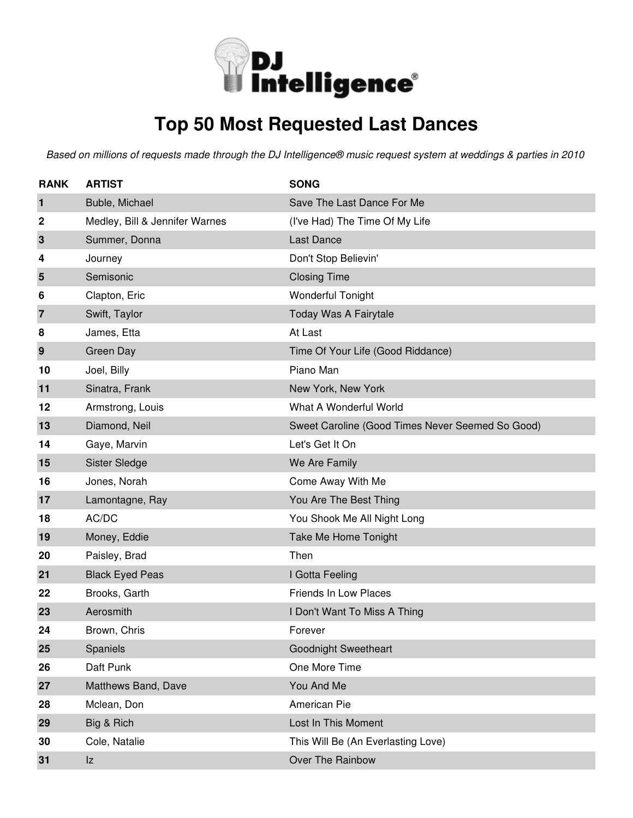

## **Top 50 Most Requested Last Dances**

| <b>RANK</b> | <b>ARTIST</b>                  | <b>SONG</b>                                      |
|-------------|--------------------------------|--------------------------------------------------|
| 1           | Buble, Michael                 | Save The Last Dance For Me                       |
| 2           | Medley, Bill & Jennifer Warnes | (I've Had) The Time Of My Life                   |
| 3           | Summer, Donna                  | <b>Last Dance</b>                                |
| 4           | Journey                        | Don't Stop Believin'                             |
| 5           | Semisonic                      | <b>Closing Time</b>                              |
| 6           | Clapton, Eric                  | <b>Wonderful Tonight</b>                         |
| 7           | Swift, Taylor                  | Today Was A Fairytale                            |
| 8           | James, Etta                    | At Last                                          |
| 9           | Green Day                      | Time Of Your Life (Good Riddance)                |
| 10          | Joel, Billy                    | Piano Man                                        |
| 11          | Sinatra, Frank                 | New York, New York                               |
| 12          | Armstrong, Louis               | What A Wonderful World                           |
| 13          | Diamond, Neil                  | Sweet Caroline (Good Times Never Seemed So Good) |
| 14          | Gaye, Marvin                   | Let's Get It On                                  |
| 15          | Sister Sledge                  | We Are Family                                    |
| 16          | Jones, Norah                   | Come Away With Me                                |
| 17          | Lamontagne, Ray                | You Are The Best Thing                           |
| 18          | AC/DC                          | You Shook Me All Night Long                      |
| 19          | Money, Eddie                   | Take Me Home Tonight                             |
| 20          | Paisley, Brad                  | Then                                             |
| 21          | <b>Black Eyed Peas</b>         | I Gotta Feeling                                  |
| 22          | Brooks, Garth                  | <b>Friends In Low Places</b>                     |
| 23          | Aerosmith                      | I Don't Want To Miss A Thing                     |
| 24          | Brown, Chris                   | Forever                                          |
| 25          | Spaniels                       | <b>Goodnight Sweetheart</b>                      |
| 26          | Daft Punk                      | One More Time                                    |
| 27          | Matthews Band, Dave            | You And Me                                       |
| 28          | Mclean, Don                    | American Pie                                     |
| 29          | Big & Rich                     | Lost In This Moment                              |
| 30          | Cole, Natalie                  | This Will Be (An Everlasting Love)               |
| 31          | z                              | Over The Rainbow                                 |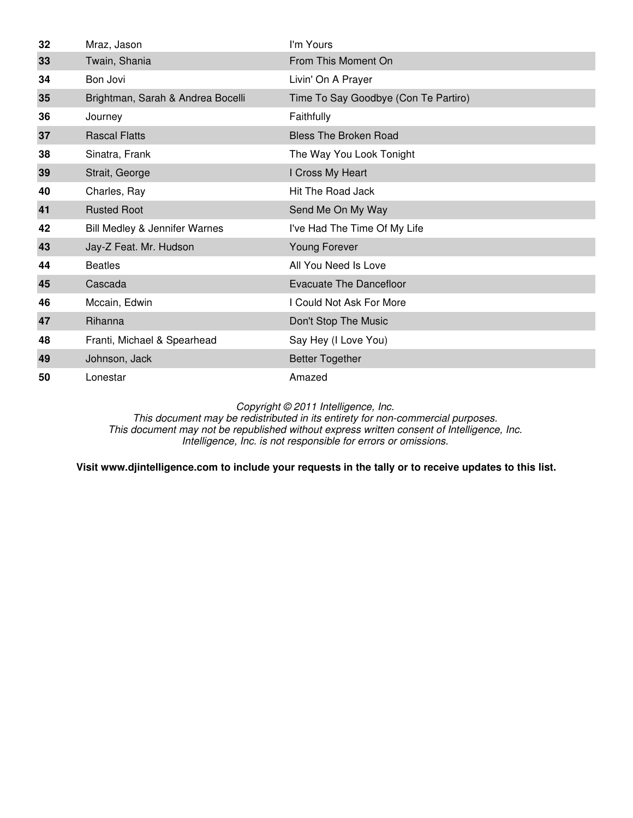| 32 | Mraz, Jason                       | I'm Yours                            |
|----|-----------------------------------|--------------------------------------|
| 33 | Twain, Shania                     | From This Moment On                  |
| 34 | Bon Jovi                          | Livin' On A Prayer                   |
| 35 | Brightman, Sarah & Andrea Bocelli | Time To Say Goodbye (Con Te Partiro) |
| 36 | Journey                           | Faithfully                           |
| 37 | <b>Rascal Flatts</b>              | <b>Bless The Broken Road</b>         |
| 38 | Sinatra, Frank                    | The Way You Look Tonight             |
| 39 | Strait, George                    | I Cross My Heart                     |
| 40 | Charles, Ray                      | <b>Hit The Road Jack</b>             |
| 41 | <b>Rusted Root</b>                | Send Me On My Way                    |
| 42 | Bill Medley & Jennifer Warnes     | I've Had The Time Of My Life         |
| 43 | Jay-Z Feat. Mr. Hudson            | Young Forever                        |
| 44 | <b>Beatles</b>                    | All You Need Is Love                 |
| 45 | Cascada                           | Evacuate The Dancefloor              |
| 46 | Mccain, Edwin                     | I Could Not Ask For More             |
| 47 | Rihanna                           | Don't Stop The Music                 |
| 48 | Franti, Michael & Spearhead       | Say Hey (I Love You)                 |
| 49 | Johnson, Jack                     | <b>Better Together</b>               |
| 50 | Lonestar                          | Amazed                               |

This document may be redistributed in its entirety for non-commercial purposes. This document may not be republished without express written consent of Intelligence, Inc. Intelligence, Inc. is not responsible for errors or omissions.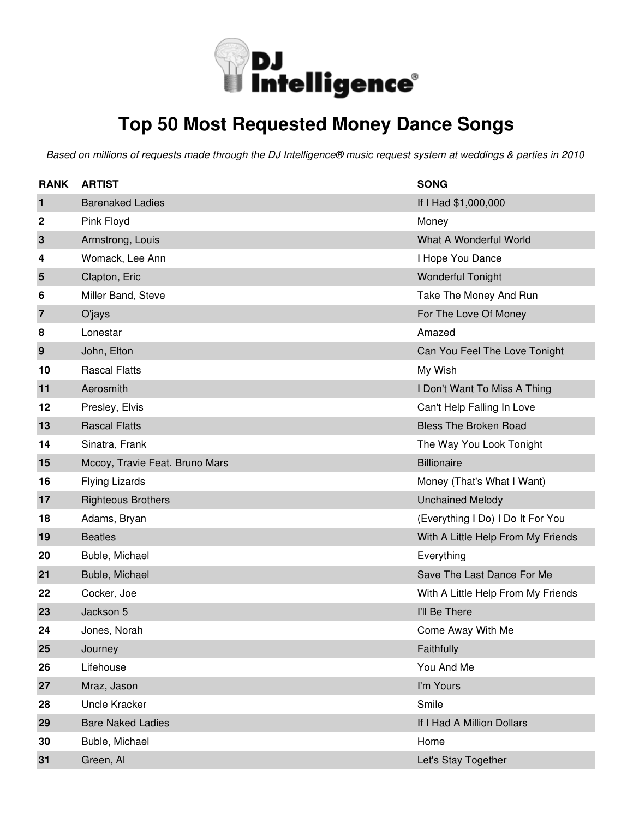

### **Top 50 Most Requested Money Dance Songs**

| <b>RANK</b>    | <b>ARTIST</b>                  | <b>SONG</b>                        |
|----------------|--------------------------------|------------------------------------|
| 1              | <b>Barenaked Ladies</b>        | If I Had \$1,000,000               |
| 2              | Pink Floyd                     | Money                              |
| 3              | Armstrong, Louis               | What A Wonderful World             |
| 4              | Womack, Lee Ann                | I Hope You Dance                   |
| 5              | Clapton, Eric                  | <b>Wonderful Tonight</b>           |
| 6              | Miller Band, Steve             | Take The Money And Run             |
| $\overline{7}$ | O'jays                         | For The Love Of Money              |
| 8              | Lonestar                       | Amazed                             |
| 9              | John, Elton                    | Can You Feel The Love Tonight      |
| 10             | <b>Rascal Flatts</b>           | My Wish                            |
| 11             | Aerosmith                      | I Don't Want To Miss A Thing       |
| 12             | Presley, Elvis                 | Can't Help Falling In Love         |
| 13             | <b>Rascal Flatts</b>           | <b>Bless The Broken Road</b>       |
| 14             | Sinatra, Frank                 | The Way You Look Tonight           |
| 15             | Mccoy, Travie Feat. Bruno Mars | <b>Billionaire</b>                 |
| 16             | <b>Flying Lizards</b>          | Money (That's What I Want)         |
| 17             | <b>Righteous Brothers</b>      | <b>Unchained Melody</b>            |
| 18             | Adams, Bryan                   | (Everything I Do) I Do It For You  |
| 19             | <b>Beatles</b>                 | With A Little Help From My Friends |
| 20             | Buble, Michael                 | Everything                         |
| 21             | Buble, Michael                 | Save The Last Dance For Me         |
| 22             | Cocker, Joe                    | With A Little Help From My Friends |
| 23             | Jackson 5                      | I'll Be There                      |
| 24             | Jones, Norah                   | Come Away With Me                  |
| 25             | Journey                        | Faithfully                         |
| 26             | Lifehouse                      | You And Me                         |
| 27             | Mraz, Jason                    | I'm Yours                          |
| 28             | Uncle Kracker                  | Smile                              |
| 29             | <b>Bare Naked Ladies</b>       | If I Had A Million Dollars         |
| 30             | Buble, Michael                 | Home                               |
| 31             | Green, Al                      | Let's Stay Together                |